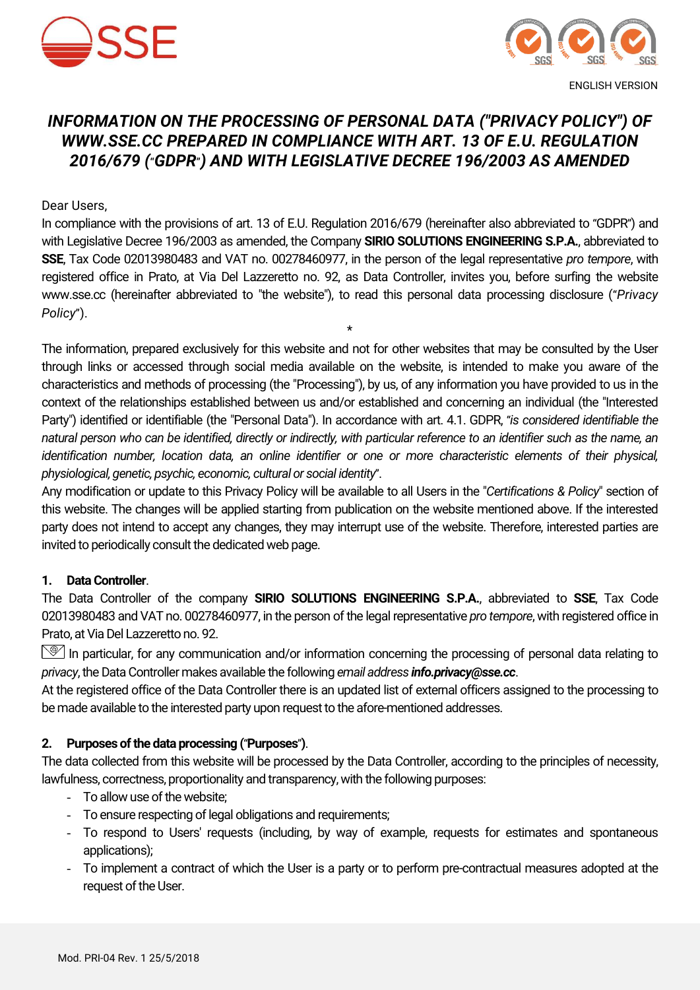



# *INFORMATION ON THE PROCESSING OF PERSONAL DATA ("PRIVACY POLICY") OF WWW.SSE.CC PREPARED IN COMPLIANCE WITH ART. 13 OF E.U. REGULATION 2016/679 (*"*GDPR*"*) AND WITH LEGISLATIVE DECREE 196/2003 AS AMENDED*

Dear Users,

In compliance with the provisions of art. 13 of E.U. Regulation 2016/679 (hereinafter also abbreviated to "GDPR") and with Legislative Decree 196/2003 as amended, the Company **SIRIO SOLUTIONS ENGINEERING S.P.A.**, abbreviated to **SSE**, Tax Code 02013980483 and VAT no. 00278460977, in the person of the legal representative *pro tempore*, with registered office in Prato, at Via Del Lazzeretto no. 92, as Data Controller, invites you, before surfing the website www.sse.cc (hereinafter abbreviated to "the website"), to read this personal data processing disclosure ("*Privacy Policy*").

\*

The information, prepared exclusively for this website and not for other websites that may be consulted by the User through links or accessed through social media available on the website, is intended to make you aware of the characteristics and methods of processing (the "Processing"), by us, of any information you have provided to us in the context of the relationships established between us and/or established and concerning an individual (the "Interested Party") identified or identifiable (the "Personal Data"). In accordance with art. 4.1. GDPR, "*is considered identifiable the natural person who can be identified, directly or indirectly, with particular reference to an identifier such as the name, an identification number, location data, an online identifier or one or more characteristic elements of their physical, physiological, genetic, psychic, economic, cultural or social identity*".

Any modification or update to this Privacy Policy will be available to all Users in the "*Certifications & Policy*" section of this website. The changes will be applied starting from publication on the website mentioned above. If the interested party does not intend to accept any changes, they may interrupt use of the website. Therefore, interested parties are invited to periodically consult the dedicated web page.

#### **1. Data Controller**.

The Data Controller of the company **SIRIO SOLUTIONS ENGINEERING S.P.A.**, abbreviated to **SSE**, Tax Code 02013980483 and VAT no. 00278460977, in the person of the legal representative *pro tempore*, with registered office in Prato, at Via Del Lazzeretto no. 92.

In particular, for any communication and/or information concerning the processing of personal data relating to *privacy*, the Data Controller makes available the following *email address info.privacy@sse.cc*.

At the registered office of the Data Controller there is an updated list of external officers assigned to the processing to be made available to the interested party upon request to the afore-mentioned addresses.

#### **2. Purposes of the data processing (**"**Purposes**"**)**.

The data collected from this website will be processed by the Data Controller, according to the principles of necessity, lawfulness, correctness, proportionality and transparency, with the following purposes:

- To allow use of the website;
- To ensure respecting of legal obligations and requirements;
- To respond to Users' requests (including, by way of example, requests for estimates and spontaneous applications);
- To implement a contract of which the User is a party or to perform pre-contractual measures adopted at the request of the User.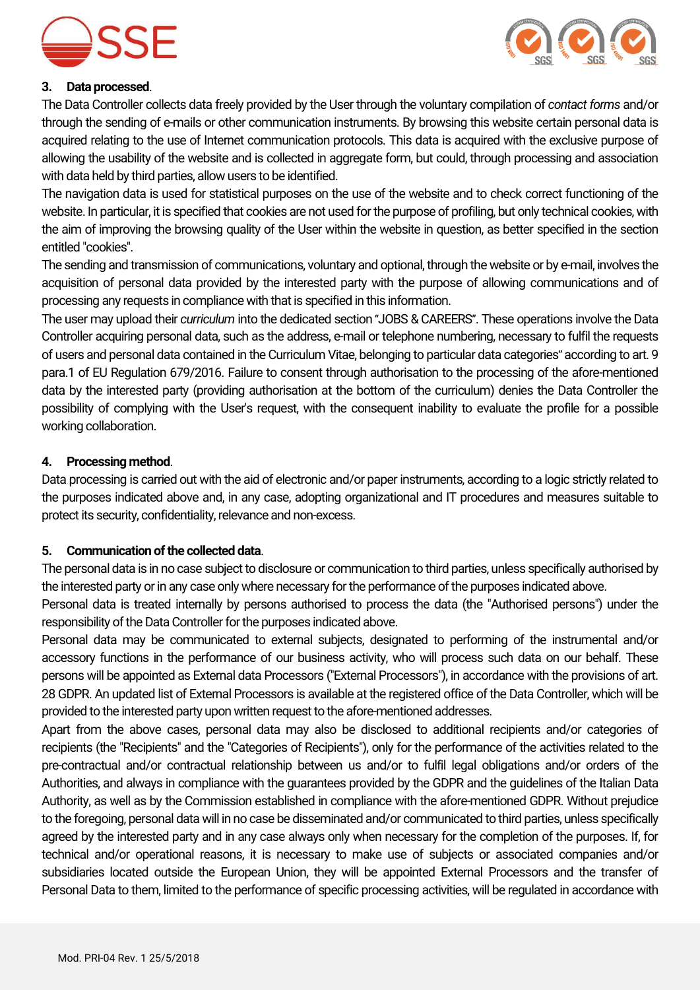



#### **3. Data processed**.

The Data Controller collects data freely provided by the User through the voluntary compilation of *contact forms* and/or through the sending of e-mails or other communication instruments. By browsing this website certain personal data is acquired relating to the use of Internet communication protocols. This data is acquired with the exclusive purpose of allowing the usability of the website and is collected in aggregate form, but could, through processing and association with data held by third parties, allow users to be identified.

The navigation data is used for statistical purposes on the use of the website and to check correct functioning of the website. In particular, it is specified that cookies are not used for the purpose of profiling, but only technical cookies, with the aim of improving the browsing quality of the User within the website in question, as better specified in the section entitled "cookies".

The sending and transmission of communications, voluntary and optional, through the website or by e-mail, involves the acquisition of personal data provided by the interested party with the purpose of allowing communications and of processing any requests in compliance with that is specified in this information.

The user may upload their *curriculum* into the dedicated section "JOBS & CAREERS". These operations involve the Data Controller acquiring personal data, such as the address, e-mail or telephone numbering, necessary to fulfil the requests of users and personal data contained in the Curriculum Vitae, belonging to particular data categories" according to art. 9 para.1 of EU Regulation 679/2016. Failure to consent through authorisation to the processing of the afore-mentioned data by the interested party (providing authorisation at the bottom of the curriculum) denies the Data Controller the possibility of complying with the User's request, with the consequent inability to evaluate the profile for a possible working collaboration.

## **4. Processing method**.

Data processing is carried out with the aid of electronic and/or paper instruments, according to a logic strictly related to the purposes indicated above and, in any case, adopting organizational and IT procedures and measures suitable to protect its security, confidentiality, relevance and non-excess.

#### **5. Communication of the collected data**.

The personal data is in no case subject to disclosure or communication to third parties, unless specifically authorised by the interested party or in any case only where necessary for the performance of the purposes indicated above.

Personal data is treated internally by persons authorised to process the data (the "Authorised persons") under the responsibility of the Data Controller for the purposes indicated above.

Personal data may be communicated to external subjects, designated to performing of the instrumental and/or accessory functions in the performance of our business activity, who will process such data on our behalf. These persons will be appointed as External data Processors ("External Processors"), in accordance with the provisions of art. 28 GDPR. An updated list of External Processors is available at the registered office of the Data Controller, which will be provided to the interested party upon written request to the afore-mentioned addresses.

Apart from the above cases, personal data may also be disclosed to additional recipients and/or categories of recipients (the "Recipients" and the "Categories of Recipients"), only for the performance of the activities related to the pre-contractual and/or contractual relationship between us and/or to fulfil legal obligations and/or orders of the Authorities, and always in compliance with the guarantees provided by the GDPR and the guidelines of the Italian Data Authority, as well as by the Commission established in compliance with the afore-mentioned GDPR. Without prejudice to the foregoing, personal data will in no case be disseminated and/or communicated to third parties, unless specifically agreed by the interested party and in any case always only when necessary for the completion of the purposes. If, for technical and/or operational reasons, it is necessary to make use of subjects or associated companies and/or subsidiaries located outside the European Union, they will be appointed External Processors and the transfer of Personal Data to them, limited to the performance of specific processing activities, will be regulated in accordance with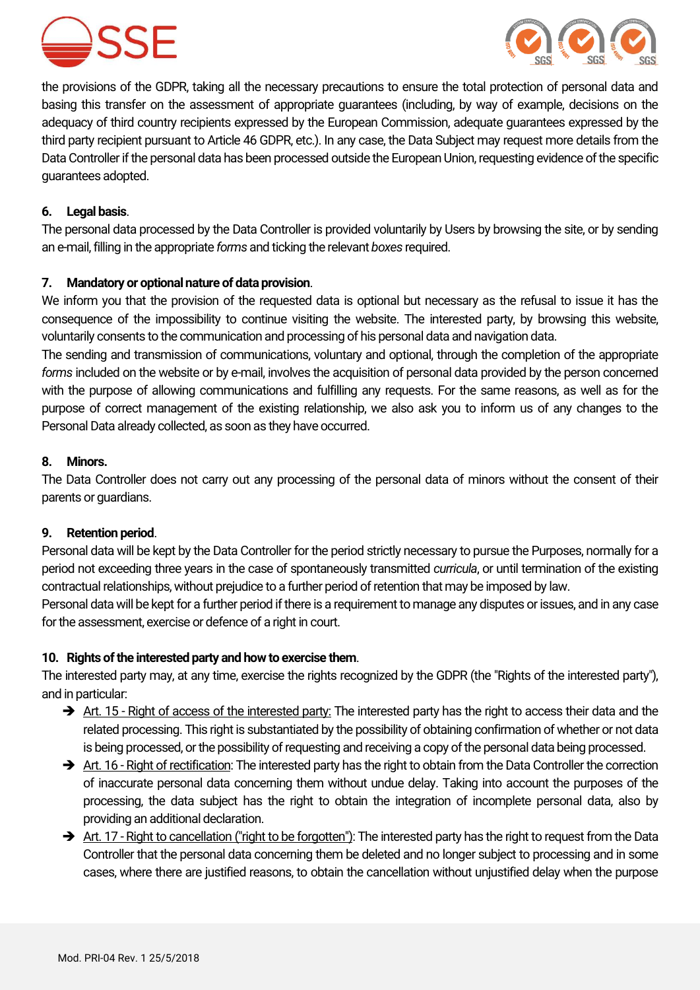



the provisions of the GDPR, taking all the necessary precautions to ensure the total protection of personal data and basing this transfer on the assessment of appropriate guarantees (including, by way of example, decisions on the adequacy of third country recipients expressed by the European Commission, adequate guarantees expressed by the third party recipient pursuant to Article 46 GDPR, etc.). In any case, the Data Subject may request more details from the Data Controller if the personal data has been processed outside the European Union, requesting evidence of the specific guarantees adopted.

#### **6. Legal basis**.

The personal data processed by the Data Controller is provided voluntarily by Users by browsing the site, or by sending an e-mail, filling in the appropriate *forms* and ticking the relevant *boxes* required.

## **7. Mandatory or optional nature of data provision**.

We inform you that the provision of the requested data is optional but necessary as the refusal to issue it has the consequence of the impossibility to continue visiting the website. The interested party, by browsing this website, voluntarily consents to the communication and processing of his personal data and navigation data.

The sending and transmission of communications, voluntary and optional, through the completion of the appropriate *forms* included on the website or by e-mail, involves the acquisition of personal data provided by the person concerned with the purpose of allowing communications and fulfilling any requests. For the same reasons, as well as for the purpose of correct management of the existing relationship, we also ask you to inform us of any changes to the Personal Data already collected, as soon as they have occurred.

#### **8. Minors.**

The Data Controller does not carry out any processing of the personal data of minors without the consent of their parents or guardians.

#### **9. Retention period**.

Personal data will be kept by the Data Controller for the period strictly necessary to pursue the Purposes, normally for a period not exceeding three years in the case of spontaneously transmitted *curricula*, or until termination of the existing contractual relationships, without prejudice to a further period of retention that may be imposed by law.

Personal data will be kept for a further period if there is a requirement to manage any disputes or issues, and in any case for the assessment, exercise or defence of a right in court.

#### **10. Rights of the interested party and how to exercise them**.

The interested party may, at any time, exercise the rights recognized by the GDPR (the "Rights of the interested party"), and in particular:

- $\rightarrow$  Art. 15 Right of access of the interested party: The interested party has the right to access their data and the related processing. This right is substantiated by the possibility of obtaining confirmation of whether or not data is being processed, or the possibility of requesting and receiving a copy of the personal data being processed.
- Art. 16 Right of rectification: The interested party has the right to obtain from the Data Controller the correction of inaccurate personal data concerning them without undue delay. Taking into account the purposes of the processing, the data subject has the right to obtain the integration of incomplete personal data, also by providing an additional declaration.
- Art. 17 Right to cancellation ("right to be forgotten"): The interested party has the right to request from the Data Controller that the personal data concerning them be deleted and no longer subject to processing and in some cases, where there are justified reasons, to obtain the cancellation without unjustified delay when the purpose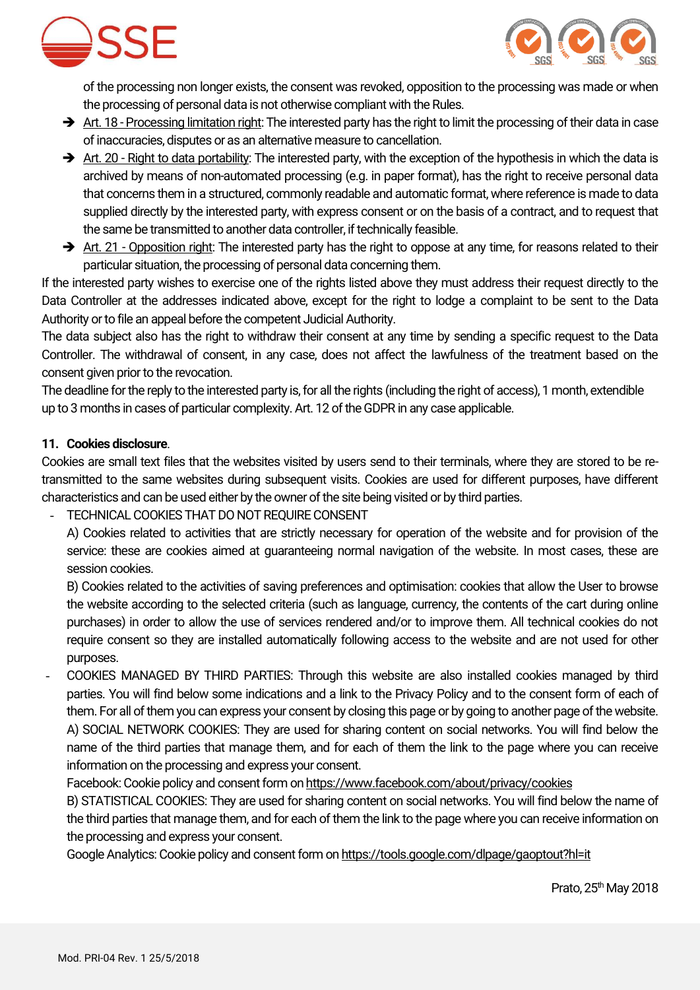



of the processing non longer exists, the consent was revoked, opposition to the processing was made or when the processing of personal data is not otherwise compliant with the Rules.

- $\rightarrow$  Art. 18 Processing limitation right: The interested party has the right to limit the processing of their data in case of inaccuracies, disputes or as an alternative measure to cancellation.
- $\rightarrow$  Art. 20 Right to data portability: The interested party, with the exception of the hypothesis in which the data is archived by means of non-automated processing (e.g. in paper format), has the right to receive personal data that concerns them in a structured, commonly readable and automatic format, where reference is made to data supplied directly by the interested party, with express consent or on the basis of a contract, and to request that the same be transmitted to another data controller, if technically feasible.
- $\rightarrow$  Art. 21 Opposition right: The interested party has the right to oppose at any time, for reasons related to their particular situation, the processing of personal data concerning them.

If the interested party wishes to exercise one of the rights listed above they must address their request directly to the Data Controller at the addresses indicated above, except for the right to lodge a complaint to be sent to the Data Authority or to file an appeal before the competent Judicial Authority.

The data subject also has the right to withdraw their consent at any time by sending a specific request to the Data Controller. The withdrawal of consent, in any case, does not affect the lawfulness of the treatment based on the consent given prior to the revocation.

The deadline for the reply to the interested party is, for all the rights (including the right of access), 1 month, extendible up to 3 months in cases of particular complexity. Art. 12 of the GDPR in any case applicable.

# **11. Cookies disclosure**.

Cookies are small text files that the websites visited by users send to their terminals, where they are stored to be retransmitted to the same websites during subsequent visits. Cookies are used for different purposes, have different characteristics and can be used either by the owner of the site being visited or by third parties.

TECHNICAL COOKIES THAT DO NOT REQUIRE CONSENT

A) Cookies related to activities that are strictly necessary for operation of the website and for provision of the service: these are cookies aimed at guaranteeing normal navigation of the website. In most cases, these are session cookies.

B) Cookies related to the activities of saving preferences and optimisation: cookies that allow the User to browse the website according to the selected criteria (such as language, currency, the contents of the cart during online purchases) in order to allow the use of services rendered and/or to improve them. All technical cookies do not require consent so they are installed automatically following access to the website and are not used for other purposes.

- COOKIES MANAGED BY THIRD PARTIES: Through this website are also installed cookies managed by third parties. You will find below some indications and a link to the Privacy Policy and to the consent form of each of them. For all of them you can express your consent by closing this page or by going to another page of the website. A) SOCIAL NETWORK COOKIES: They are used for sharing content on social networks. You will find below the name of the third parties that manage them, and for each of them the link to the page where you can receive information on the processing and express your consent.

Facebook: Cookie policy and consent form o[n https://www.facebook.com/about/privacy/cookies](https://www.facebook.com/about/privacy/cookies)

B) STATISTICAL COOKIES: They are used for sharing content on social networks. You will find below the name of the third parties that manage them, and for each of them the link to the page where you can receive information on the processing and express your consent.

Google Analytics: Cookie policy and consent form o[n https://tools.google.com/dlpage/gaoptout?hl=it](https://tools.google.com/dlpage/gaoptout?hl=it)

Prato, 25<sup>th</sup> May 2018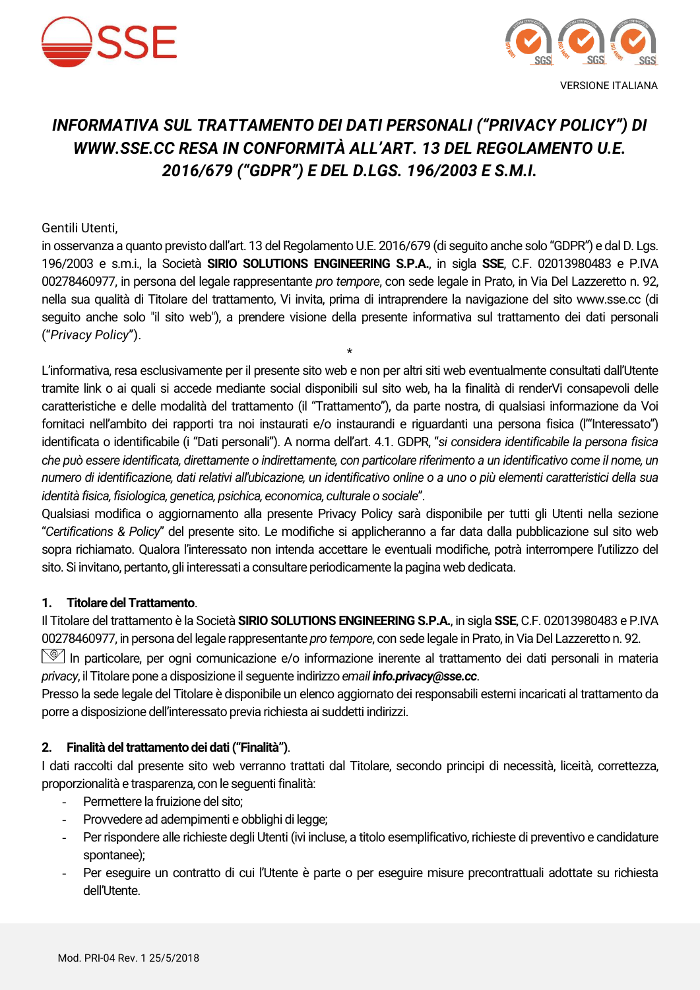



# *INFORMATIVA SUL TRATTAMENTO DEI DATI PERSONALI ("PRIVACY POLICY") DI WWW.SSE.CC RESA IN CONFORMITÀ ALL'ART. 13 DEL REGOLAMENTO U.E. 2016/679 ("GDPR") E DEL D.LGS. 196/2003 E S.M.I.*

#### Gentili Utenti,

in osservanza a quanto previsto dall'art. 13 del Regolamento U.E. 2016/679 (di seguito anche solo "GDPR") e dal D. Lgs. 196/2003 e s.m.i., la Società **SIRIO SOLUTIONS ENGINEERING S.P.A.**, in sigla **SSE**, C.F. 02013980483 e P.IVA 00278460977, in persona del legale rappresentante *pro tempore*, con sede legale in Prato, in Via Del Lazzeretto n. 92, nella sua qualità di Titolare del trattamento, Vi invita, prima di intraprendere la navigazione del sito www.sse.cc (di seguito anche solo "il sito web"), a prendere visione della presente informativa sul trattamento dei dati personali ("*Privacy Policy*").

\*

L'informativa, resa esclusivamente per il presente sito web e non per altri siti web eventualmente consultati dall'Utente tramite link o ai quali si accede mediante social disponibili sul sito web, ha la finalità di renderVi consapevoli delle caratteristiche e delle modalità del trattamento (il "Trattamento"), da parte nostra, di qualsiasi informazione da Voi fornitaci nell'ambito dei rapporti tra noi instaurati e/o instaurandi e riguardanti una persona fisica (l'"Interessato") identificata o identificabile (i "Dati personali"). A norma dell'art. 4.1. GDPR, "*si considera identificabile la persona fisica che può essere identificata, direttamente o indirettamente, con particolare riferimento a un identificativo come il nome, un numero di identificazione, dati relativi all'ubicazione, un identificativo online o a uno o più elementi caratteristici della sua identità fisica, fisiologica, genetica, psichica, economica, culturale o sociale*".

Qualsiasi modifica o aggiornamento alla presente Privacy Policy sarà disponibile per tutti gli Utenti nella sezione "*Certifications & Policy*" del presente sito. Le modifiche si applicheranno a far data dalla pubblicazione sul sito web sopra richiamato. Qualora l'interessato non intenda accettare le eventuali modifiche, potrà interrompere l'utilizzo del sito. Si invitano, pertanto, gli interessati a consultare periodicamente la pagina web dedicata.

#### **1. Titolare del Trattamento**.

Il Titolare del trattamento è la Società **SIRIO SOLUTIONS ENGINEERING S.P.A.**, in sigla **SSE**, C.F. 02013980483 e P.IVA 00278460977, in persona del legale rappresentante *pro tempore*, con sede legale in Prato, in Via Del Lazzeretto n. 92.

 $\mathbb{Q}$ ln particolare, per ogni comunicazione e/o informazione inerente al trattamento dei dati personali in materia *privacy*, il Titolare pone a disposizione il seguente indirizzo *email info.privacy@sse.cc*.

Presso la sede legale del Titolare è disponibile un elenco aggiornato dei responsabili esterni incaricati al trattamento da porre a disposizione dell'interessato previa richiesta ai suddetti indirizzi.

# **2. Finalità del trattamento dei dati ("Finalità")**.

I dati raccolti dal presente sito web verranno trattati dal Titolare, secondo principi di necessità, liceità, correttezza, proporzionalità e trasparenza, con le seguenti finalità:

- Permettere la fruizione del sito;
- Provvedere ad adempimenti e obblighi di legge;
- Per rispondere alle richieste degli Utenti (ivi incluse, a titolo esemplificativo, richieste di preventivo e candidature spontanee);
- Per eseguire un contratto di cui l'Utente è parte o per eseguire misure precontrattuali adottate su richiesta dell'Utente.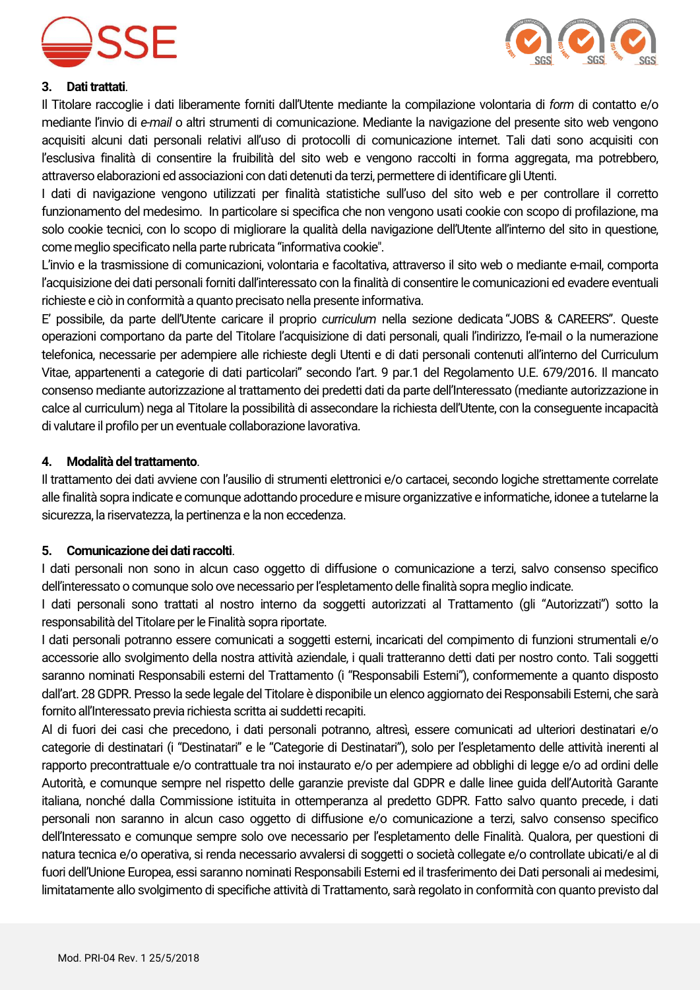



#### **3. Dati trattati**.

Il Titolare raccoglie i dati liberamente forniti dall'Utente mediante la compilazione volontaria di *form* di contatto e/o mediante l'invio di *e-mail* o altri strumenti di comunicazione. Mediante la navigazione del presente sito web vengono acquisiti alcuni dati personali relativi all'uso di protocolli di comunicazione internet. Tali dati sono acquisiti con l'esclusiva finalità di consentire la fruibilità del sito web e vengono raccolti in forma aggregata, ma potrebbero, attraverso elaborazioni ed associazioni con dati detenuti da terzi, permettere di identificare gli Utenti.

I dati di navigazione vengono utilizzati per finalità statistiche sull'uso del sito web e per controllare il corretto funzionamento del medesimo. In particolare si specifica che non vengono usati cookie con scopo di profilazione, ma solo cookie tecnici, con lo scopo di migliorare la qualità della navigazione dell'Utente all'interno del sito in questione, come meglio specificato nella parte rubricata "informativa cookie".

L'invio e la trasmissione di comunicazioni, volontaria e facoltativa, attraverso il sito web o mediante e-mail, comporta l'acquisizione dei dati personali forniti dall'interessato con la finalità di consentire le comunicazioni ed evadere eventuali richieste e ciò in conformità a quanto precisato nella presente informativa.

E' possibile, da parte dell'Utente caricare il proprio *curriculum* nella sezione dedicata "JOBS & CAREERS". Queste operazioni comportano da parte del Titolare l'acquisizione di dati personali, quali l'indirizzo, l'e-mail o la numerazione telefonica, necessarie per adempiere alle richieste degli Utenti e di dati personali contenuti all'interno del Curriculum Vitae, appartenenti a categorie di dati particolari" secondo l'art. 9 par.1 del Regolamento U.E. 679/2016. Il mancato consenso mediante autorizzazione al trattamento dei predetti dati da parte dell'Interessato (mediante autorizzazione in calce al curriculum) nega al Titolare la possibilità di assecondare la richiesta dell'Utente, con la conseguente incapacità di valutare il profilo per un eventuale collaborazione lavorativa.

#### **4. Modalità deltrattamento**.

Il trattamento dei dati avviene con l'ausilio di strumenti elettronici e/o cartacei, secondo logiche strettamente correlate alle finalità sopra indicate e comunque adottando procedure e misure organizzative e informatiche, idonee a tutelarne la sicurezza, la riservatezza, la pertinenza e la non eccedenza.

#### **5. Comunicazione dei dati raccolti**.

I dati personali non sono in alcun caso oggetto di diffusione o comunicazione a terzi, salvo consenso specifico dell'interessato o comunque solo ove necessario per l'espletamento delle finalità sopra meglio indicate.

I dati personali sono trattati al nostro interno da soggetti autorizzati al Trattamento (gli "Autorizzati") sotto la responsabilità del Titolare per le Finalità sopra riportate.

I dati personali potranno essere comunicati a soggetti esterni, incaricati del compimento di funzioni strumentali e/o accessorie allo svolgimento della nostra attività aziendale, i quali tratteranno detti dati per nostro conto. Tali soggetti saranno nominati Responsabili esterni del Trattamento (i "Responsabili Esterni"), conformemente a quanto disposto dall'art. 28 GDPR. Presso la sede legale del Titolare è disponibile un elenco aggiornato dei Responsabili Esterni, che sarà fornito all'Interessato previa richiesta scritta ai suddetti recapiti.

Al di fuori dei casi che precedono, i dati personali potranno, altresì, essere comunicati ad ulteriori destinatari e/o categorie di destinatari (i "Destinatari" e le "Categorie di Destinatari"), solo per l'espletamento delle attività inerenti al rapporto precontrattuale e/o contrattuale tra noi instaurato e/o per adempiere ad obblighi di legge e/o ad ordini delle Autorità, e comunque sempre nel rispetto delle garanzie previste dal GDPR e dalle linee guida dell'Autorità Garante italiana, nonché dalla Commissione istituita in ottemperanza al predetto GDPR. Fatto salvo quanto precede, i dati personali non saranno in alcun caso oggetto di diffusione e/o comunicazione a terzi, salvo consenso specifico dell'Interessato e comunque sempre solo ove necessario per l'espletamento delle Finalità. Qualora, per questioni di natura tecnica e/o operativa, si renda necessario avvalersi di soggetti o società collegate e/o controllate ubicati/e al di fuori dell'Unione Europea, essi saranno nominati Responsabili Esterni ed il trasferimento dei Dati personali ai medesimi, limitatamente allo svolgimento di specifiche attività di Trattamento, sarà regolato in conformità con quanto previsto dal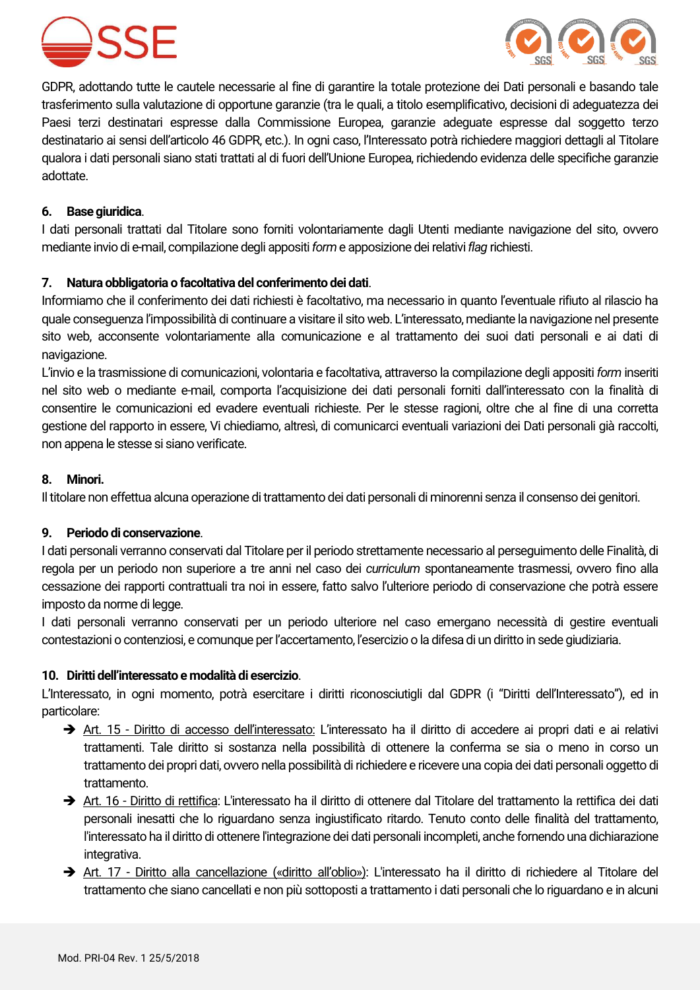



GDPR, adottando tutte le cautele necessarie al fine di garantire la totale protezione dei Dati personali e basando tale trasferimento sulla valutazione di opportune garanzie (tra le quali, a titolo esemplificativo, decisioni di adeguatezza dei Paesi terzi destinatari espresse dalla Commissione Europea, garanzie adeguate espresse dal soggetto terzo destinatario ai sensi dell'articolo 46 GDPR, etc.). In ogni caso, l'Interessato potrà richiedere maggiori dettagli al Titolare qualora i dati personali siano stati trattati al di fuori dell'Unione Europea, richiedendo evidenza delle specifiche garanzie adottate.

#### **6. Base giuridica**.

I dati personali trattati dal Titolare sono forniti volontariamente dagli Utenti mediante navigazione del sito, ovvero mediante invio di e-mail, compilazione degli appositi *form* e apposizione dei relativi *flag* richiesti.

#### **7. Natura obbligatoria o facoltativa del conferimento dei dati**.

Informiamo che il conferimento dei dati richiesti è facoltativo, ma necessario in quanto l'eventuale rifiuto al rilascio ha quale conseguenza l'impossibilità di continuare a visitare il sito web. L'interessato, mediante la navigazione nel presente sito web, acconsente volontariamente alla comunicazione e al trattamento dei suoi dati personali e ai dati di navigazione.

L'invio e la trasmissione di comunicazioni, volontaria e facoltativa, attraverso la compilazione degli appositi *form* inseriti nel sito web o mediante e-mail, comporta l'acquisizione dei dati personali forniti dall'interessato con la finalità di consentire le comunicazioni ed evadere eventuali richieste. Per le stesse ragioni, oltre che al fine di una corretta gestione del rapporto in essere, Vi chiediamo, altresì, di comunicarci eventuali variazioni dei Dati personali già raccolti, non appena le stesse si siano verificate.

#### **8. Minori.**

Il titolare non effettua alcuna operazione di trattamento dei dati personali di minorenni senza il consenso dei genitori.

#### **9. Periodo di conservazione**.

I dati personali verranno conservati dal Titolare per il periodo strettamente necessario al perseguimento delle Finalità, di regola per un periodo non superiore a tre anni nel caso dei *curriculum* spontaneamente trasmessi, ovvero fino alla cessazione dei rapporti contrattuali tra noi in essere, fatto salvo l'ulteriore periodo di conservazione che potrà essere imposto da norme di legge.

I dati personali verranno conservati per un periodo ulteriore nel caso emergano necessità di gestire eventuali contestazioni o contenziosi, e comunque per l'accertamento, l'esercizio o la difesa di un diritto in sede giudiziaria.

#### **10. Diritti dell'interessato e modalità di esercizio**.

L'Interessato, in ogni momento, potrà esercitare i diritti riconosciutigli dal GDPR (i "Diritti dell'Interessato"), ed in particolare:

- Art. 15 Diritto di accesso dell'interessato: L'interessato ha il diritto di accedere ai propri dati e ai relativi trattamenti. Tale diritto si sostanza nella possibilità di ottenere la conferma se sia o meno in corso un trattamento dei propri dati, ovvero nella possibilità di richiedere e ricevere una copia dei dati personali oggetto di trattamento.
- Art. 16 Diritto di rettifica: L'interessato ha il diritto di ottenere dal Titolare del trattamento la rettifica dei dati personali inesatti che lo riguardano senza ingiustificato ritardo. Tenuto conto delle finalità del trattamento, l'interessato ha il diritto di ottenere l'integrazione dei dati personali incompleti, anche fornendo una dichiarazione integrativa.
- Art. 17 Diritto alla cancellazione («diritto all'oblio»): L'interessato ha il diritto di richiedere al Titolare del trattamento che siano cancellati e non più sottoposti a trattamento i dati personali che lo riguardano e in alcuni